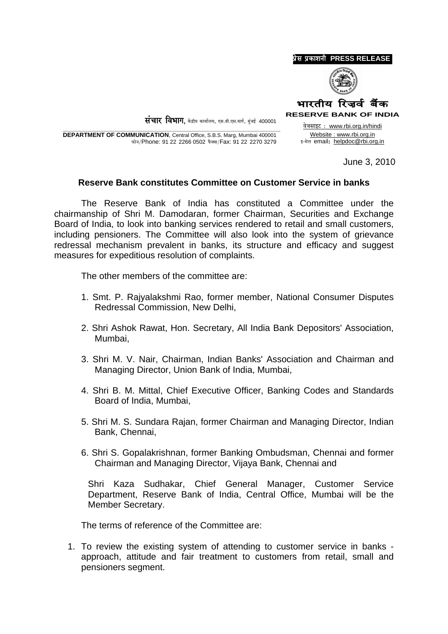

**RESERVE BANK OF INDIA** वेबसाइट : www.rbi.org.in/hindi

 $\dot{H}$ चार विभाग. केंद्रीय कार्यालय. एस.बी.एस.मार्ग. मंबई 400001

**DEPARTMENT OF COMMUNICATION, Central Office, S.B.S. Marg, Mumbai 400001** फोन/Phone: 91 22 2266 0502 फैक्स/Fax: 91 22 2270 3279

Website: www.rbi.org.in इ-मेल email: helpdoc@rbi.org.in

June 3, 2010

## Reserve Bank constitutes Committee on Customer Service in banks

The Reserve Bank of India has constituted a Committee under the chairmanship of Shri M. Damodaran, former Chairman, Securities and Exchange Board of India, to look into banking services rendered to retail and small customers, including pensioners. The Committee will also look into the system of grievance redressal mechanism prevalent in banks, its structure and efficacy and suggest measures for expeditious resolution of complaints.

The other members of the committee are:

- 1. Smt. P. Rajyalakshmi Rao, former member, National Consumer Disputes Redressal Commission, New Delhi,
- 2. Shri Ashok Rawat, Hon. Secretary, All India Bank Depositors' Association, Mumbai.
- 3. Shri M. V. Nair, Chairman, Indian Banks' Association and Chairman and Managing Director, Union Bank of India, Mumbai,
- 4. Shri B. M. Mittal, Chief Executive Officer, Banking Codes and Standards Board of India, Mumbai.
- 5. Shri M. S. Sundara Rajan, former Chairman and Managing Director, Indian Bank, Chennai,
- 6. Shri S. Gopalakrishnan, former Banking Ombudsman, Chennai and former Chairman and Managing Director, Vijaya Bank, Chennai and

Shri Kaza Sudhakar, Chief General Manager, Customer Service Department. Reserve Bank of India. Central Office. Mumbai will be the Member Secretary.

The terms of reference of the Committee are:

1. To review the existing system of attending to customer service in banks approach, attitude and fair treatment to customers from retail, small and pensioners segment.